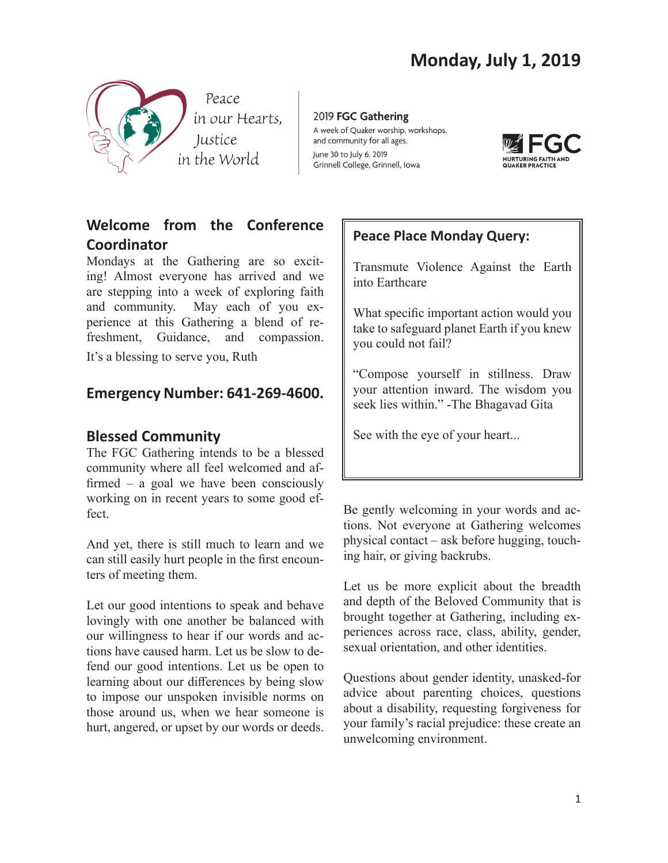

2019 FGC Gathering A week of Quaker worship, workshops, and community for all ages. June 30 to July 6, 2019 Grinnell College, Grinnell, Iowa



# **Welcome from the Conference Coordinator**

Mondays at the Gathering are so exciting! Almost everyone has arrived and we are stepping into a week of exploring faith and community. May each of you experience at this Gathering a blend of refreshment, Guidance, and compassion.

It's a blessing to serve you, Ruth

# **Emergency Number: 641-269-4600.**

## **Blessed Community**

The FGC Gathering intends to be a blessed community where all feel welcomed and affirmed – a goal we have been consciously working on in recent years to some good effect.

And yet, there is still much to learn and we can still easily hurt people in the first encounters of meeting them.

Let our good intentions to speak and behave lovingly with one another be balanced with our willingness to hear if our words and actions have caused harm. Let us be slow to defend our good intentions. Let us be open to learning about our differences by being slow to impose our unspoken invisible norms on those around us, when we hear someone is hurt, angered, or upset by our words or deeds.

# **Peace Place Monday Query:**

Transmute Violence Against the Earth into Earthcare

What specific important action would you take to safeguard planet Earth if you knew you could not fail?

"Compose yourself in stillness. Draw your attention inward. The wisdom you seek lies within." -The Bhagavad Gita

See with the eye of your heart...

Be gently welcoming in your words and actions. Not everyone at Gathering welcomes physical contact – ask before hugging, touching hair, or giving backrubs.

Let us be more explicit about the breadth and depth of the Beloved Community that is brought together at Gathering, including experiences across race, class, ability, gender, sexual orientation, and other identities.

Questions about gender identity, unasked-for advice about parenting choices, questions about a disability, requesting forgiveness for your family's racial prejudice: these create an unwelcoming environment.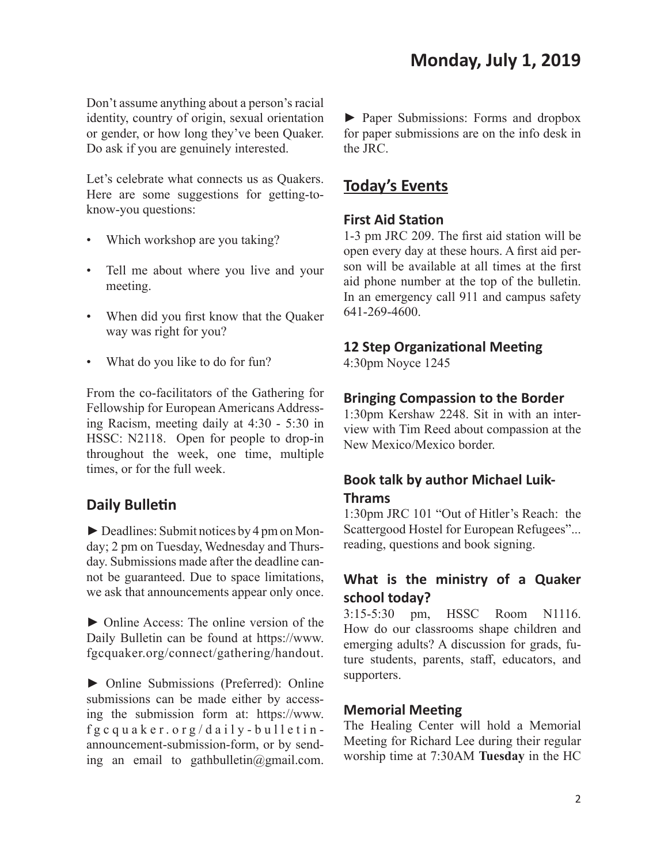Don't assume anything about a person's racial identity, country of origin, sexual orientation or gender, or how long they've been Quaker. Do ask if you are genuinely interested.

Let's celebrate what connects us as Quakers. Here are some suggestions for getting-toknow-you questions:

- Which workshop are you taking?
- Tell me about where you live and your meeting.
- When did you first know that the Quaker way was right for you?
- What do you like to do for fun?

From the co-facilitators of the Gathering for Fellowship for European Americans Addressing Racism, meeting daily at 4:30 - 5:30 in HSSC: N2118. Open for people to drop-in throughout the week, one time, multiple times, or for the full week.

## **Daily Bulletin**

► Deadlines: Submit notices by 4 pm on Monday; 2 pm on Tuesday, Wednesday and Thursday. Submissions made after the deadline cannot be guaranteed. Due to space limitations, we ask that announcements appear only once.

► Online Access: The online version of the Daily Bulletin can be found at https://www. fgcquaker.org/connect/gathering/handout.

► Online Submissions (Preferred): Online submissions can be made either by accessing the submission form at: https://www. fgcquaker.org/daily-bulletinannouncement-submission-form, or by sending an email to gathbulletin@gmail.com.

► Paper Submissions: Forms and dropbox for paper submissions are on the info desk in the JRC.

# **Today's Events**

#### **First Aid Station**

1-3 pm JRC 209. The first aid station will be open every day at these hours. A first aid person will be available at all times at the first aid phone number at the top of the bulletin. In an emergency call 911 and campus safety 641-269-4600.

#### **12 Step Organizational Meeting**

4:30pm Noyce 1245

#### **Bringing Compassion to the Border**

1:30pm Kershaw 2248. Sit in with an interview with Tim Reed about compassion at the New Mexico/Mexico border.

## **Book talk by author Michael Luik-Thrams**

1:30pm JRC 101 "Out of Hitler's Reach: the Scattergood Hostel for European Refugees"... reading, questions and book signing.

# **What is the ministry of a Quaker school today?**

3:15-5:30 pm, HSSC Room N1116. How do our classrooms shape children and emerging adults? A discussion for grads, future students, parents, staff, educators, and supporters.

#### **Memorial Meeting**

The Healing Center will hold a Memorial Meeting for Richard Lee during their regular worship time at 7:30AM **Tuesday** in the HC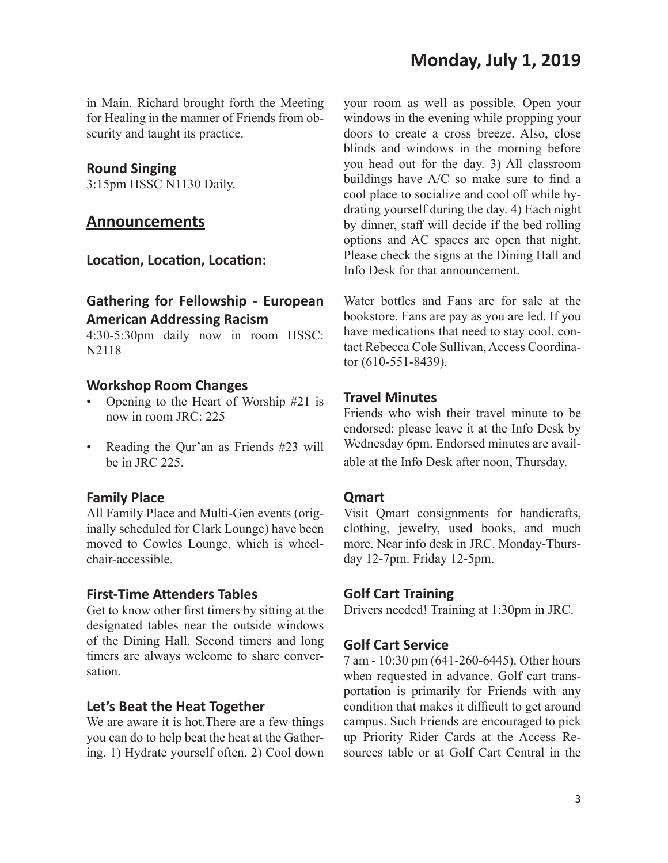in Main. Richard brought forth the Meeting for Healing in the manner of Friends from obscurity and taught its practice.

#### **Round Singing**

3:15pm HSSC N1130 Daily.

## **Announcements**

**Location, Location, Location:**

## **Gathering for Fellowship - European American Addressing Racism**

4:30-5:30pm daily now in room HSSC: N2118

#### **Workshop Room Changes**

- Opening to the Heart of Worship #21 is now in room JRC: 225
- Reading the Qur'an as Friends #23 will be in JRC 225.

#### **Family Place**

All Family Place and Multi-Gen events (originally scheduled for Clark Lounge) have been moved to Cowles Lounge, which is wheelchair-accessible.

#### **First-Time Attenders Tables**

Get to know other first timers by sitting at the designated tables near the outside windows of the Dining Hall. Second timers and long timers are always welcome to share conversation.

#### **Let's Beat the Heat Together**

We are aware it is hot.There are a few things you can do to help beat the heat at the Gathering. 1) Hydrate yourself often. 2) Cool down your room as well as possible. Open your windows in the evening while propping your doors to create a cross breeze. Also, close blinds and windows in the morning before you head out for the day. 3) All classroom buildings have A/C so make sure to find a cool place to socialize and cool off while hydrating yourself during the day. 4) Each night by dinner, staff will decide if the bed rolling options and AC spaces are open that night. Please check the signs at the Dining Hall and Info Desk for that announcement.

Water bottles and Fans are for sale at the bookstore. Fans are pay as you are led. If you have medications that need to stay cool, contact Rebecca Cole Sullivan, Access Coordinator (610-551-8439).

#### **Travel Minutes**

Friends who wish their travel minute to be endorsed: please leave it at the Info Desk by Wednesday 6pm. Endorsed minutes are available at the Info Desk after noon, Thursday.

#### **Qmart**

Visit Qmart consignments for handicrafts, clothing, jewelry, used books, and much more. Near info desk in JRC. Monday-Thursday 12-7pm. Friday 12-5pm.

#### **Golf Cart Training**

Drivers needed! Training at 1:30pm in JRC.

#### **Golf Cart Service**

7 am - 10:30 pm (641-260-6445). Other hours when requested in advance. Golf cart transportation is primarily for Friends with any condition that makes it difficult to get around campus. Such Friends are encouraged to pick up Priority Rider Cards at the Access Resources table or at Golf Cart Central in the